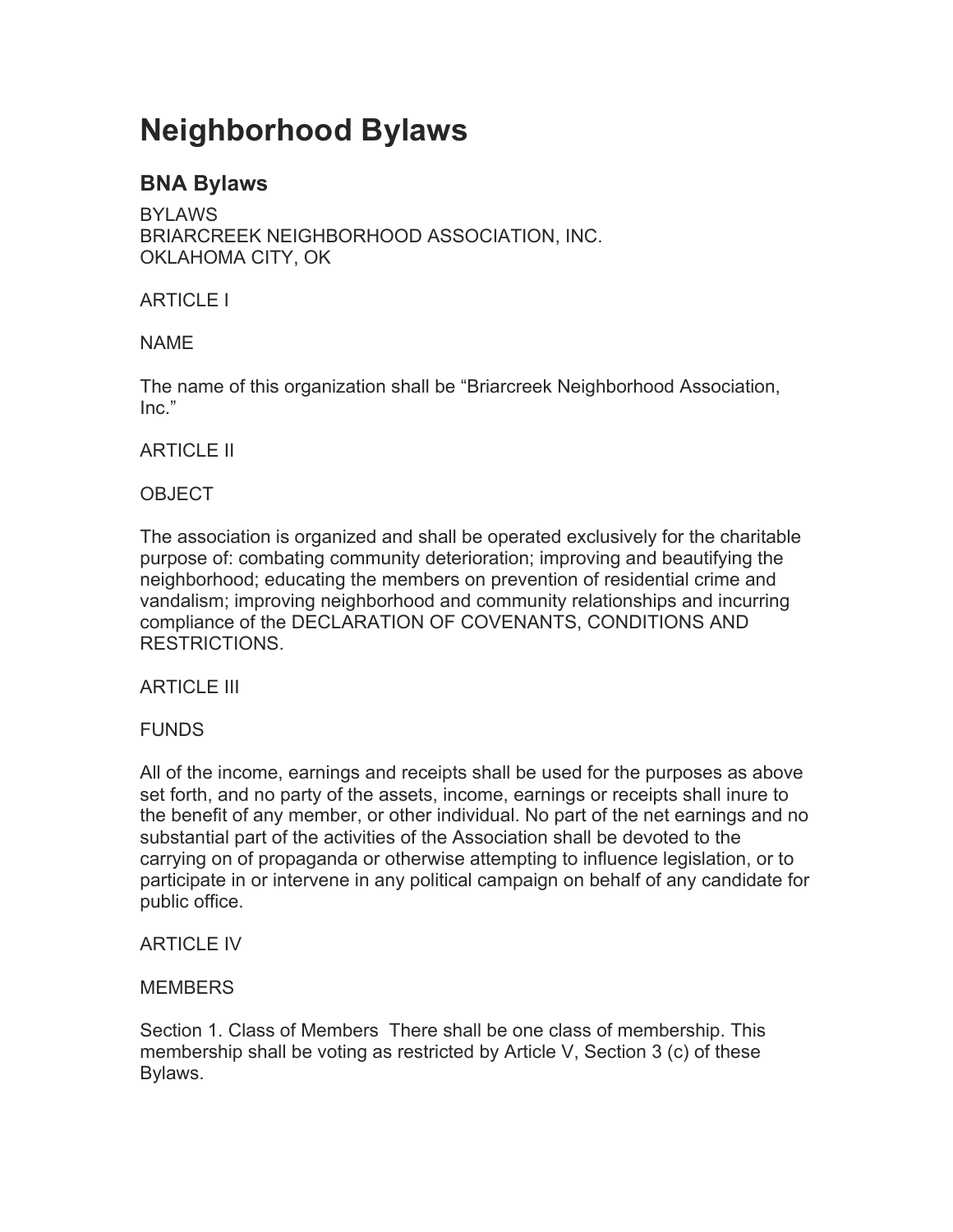# **Neighborhood Bylaws**

## **BNA Bylaws**

BYLAWS BRIARCREEK NEIGHBORHOOD ASSOCIATION, INC. OKLAHOMA CITY, OK

## ARTICLE I

## NAME

The name of this organization shall be "Briarcreek Neighborhood Association, Inc."

## ARTICLE II

## **OBJECT**

The association is organized and shall be operated exclusively for the charitable purpose of: combating community deterioration; improving and beautifying the neighborhood; educating the members on prevention of residential crime and vandalism; improving neighborhood and community relationships and incurring compliance of the DECLARATION OF COVENANTS, CONDITIONS AND RESTRICTIONS.

## ARTICLE III

## **FUNDS**

All of the income, earnings and receipts shall be used for the purposes as above set forth, and no party of the assets, income, earnings or receipts shall inure to the benefit of any member, or other individual. No part of the net earnings and no substantial part of the activities of the Association shall be devoted to the carrying on of propaganda or otherwise attempting to influence legislation, or to participate in or intervene in any political campaign on behalf of any candidate for public office.

## ARTICLE IV

## **MEMBERS**

Section 1. Class of Members There shall be one class of membership. This membership shall be voting as restricted by Article V, Section 3 (c) of these Bylaws.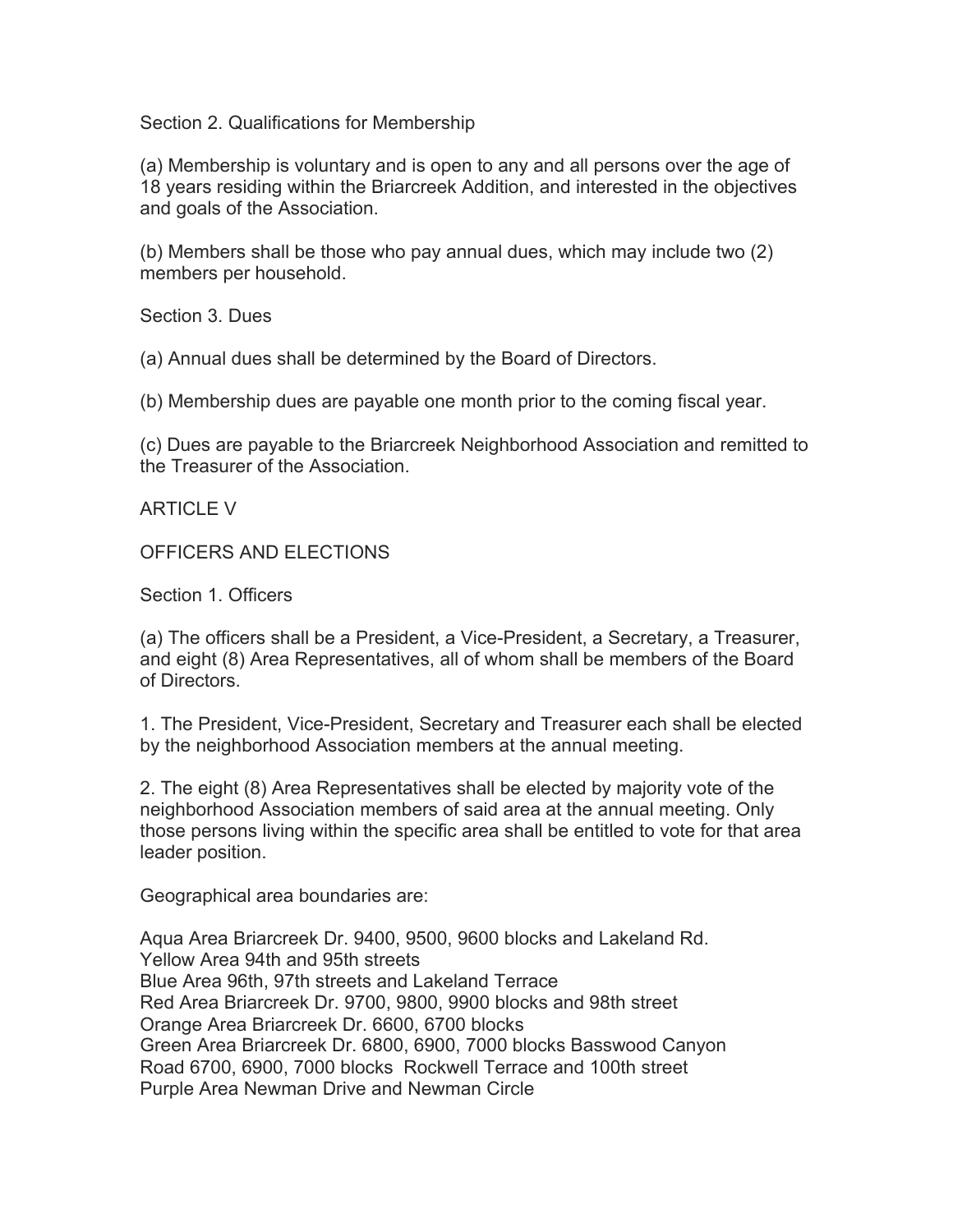Section 2. Qualifications for Membership

(a) Membership is voluntary and is open to any and all persons over the age of 18 years residing within the Briarcreek Addition, and interested in the objectives and goals of the Association.

(b) Members shall be those who pay annual dues, which may include two (2) members per household.

Section 3. Dues

(a) Annual dues shall be determined by the Board of Directors.

(b) Membership dues are payable one month prior to the coming fiscal year.

(c) Dues are payable to the Briarcreek Neighborhood Association and remitted to the Treasurer of the Association.

ARTICLE V

OFFICERS AND ELECTIONS

Section 1. Officers

(a) The officers shall be a President, a Vice-President, a Secretary, a Treasurer, and eight (8) Area Representatives, all of whom shall be members of the Board of Directors.

1. The President, Vice-President, Secretary and Treasurer each shall be elected by the neighborhood Association members at the annual meeting.

2. The eight (8) Area Representatives shall be elected by majority vote of the neighborhood Association members of said area at the annual meeting. Only those persons living within the specific area shall be entitled to vote for that area leader position.

Geographical area boundaries are:

Aqua Area Briarcreek Dr. 9400, 9500, 9600 blocks and Lakeland Rd. Yellow Area 94th and 95th streets Blue Area 96th, 97th streets and Lakeland Terrace Red Area Briarcreek Dr. 9700, 9800, 9900 blocks and 98th street Orange Area Briarcreek Dr. 6600, 6700 blocks Green Area Briarcreek Dr. 6800, 6900, 7000 blocks Basswood Canyon Road 6700, 6900, 7000 blocks Rockwell Terrace and 100th street Purple Area Newman Drive and Newman Circle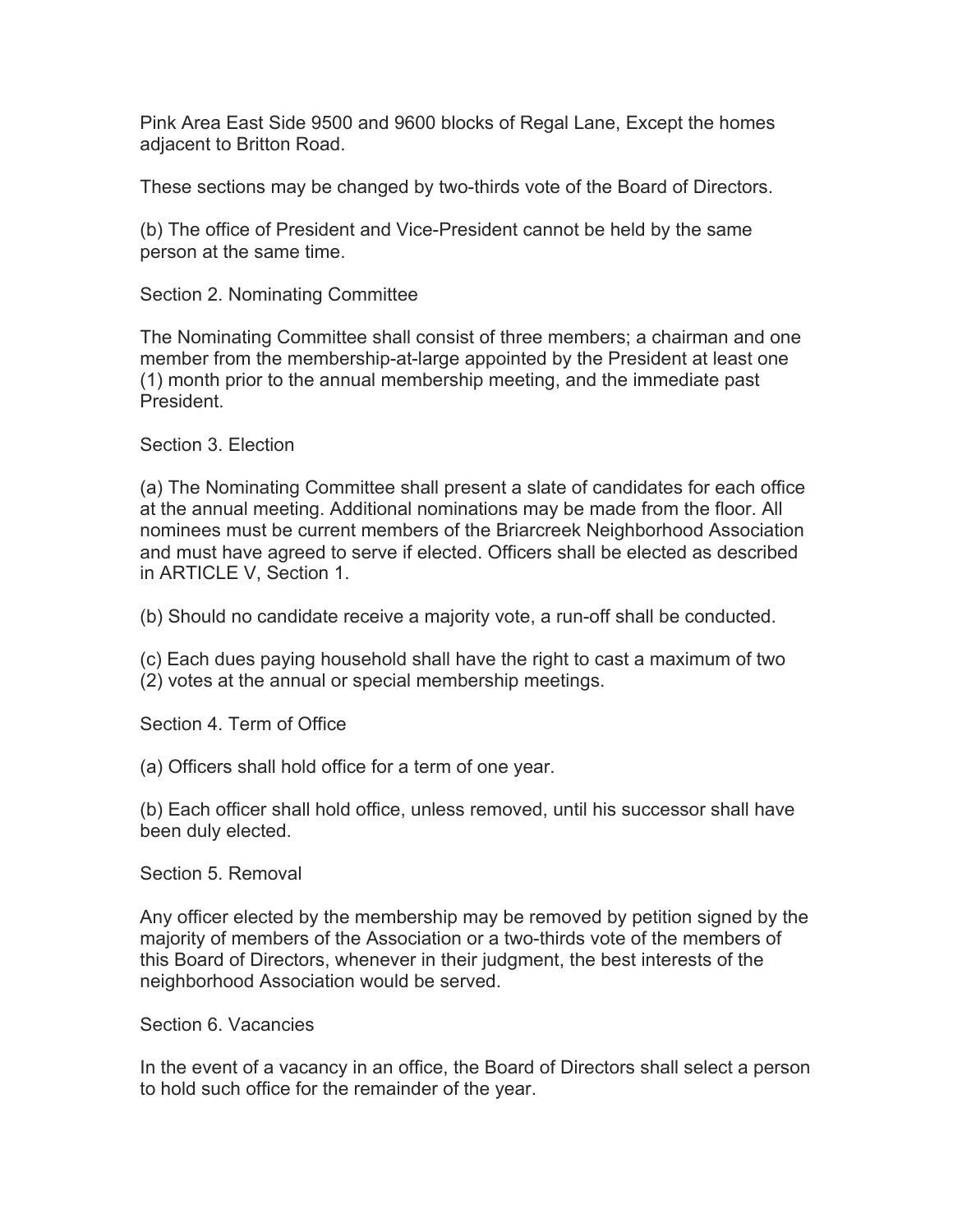Pink Area East Side 9500 and 9600 blocks of Regal Lane, Except the homes adjacent to Britton Road.

These sections may be changed by two-thirds vote of the Board of Directors.

(b) The office of President and Vice-President cannot be held by the same person at the same time.

Section 2. Nominating Committee

The Nominating Committee shall consist of three members; a chairman and one member from the membership-at-large appointed by the President at least one (1) month prior to the annual membership meeting, and the immediate past President.

Section 3. Election

(a) The Nominating Committee shall present a slate of candidates for each office at the annual meeting. Additional nominations may be made from the floor. All nominees must be current members of the Briarcreek Neighborhood Association and must have agreed to serve if elected. Officers shall be elected as described in ARTICLE V, Section 1.

(b) Should no candidate receive a majority vote, a run-off shall be conducted.

(c) Each dues paying household shall have the right to cast a maximum of two (2) votes at the annual or special membership meetings.

Section 4. Term of Office

(a) Officers shall hold office for a term of one year.

(b) Each officer shall hold office, unless removed, until his successor shall have been duly elected.

Section 5. Removal

Any officer elected by the membership may be removed by petition signed by the majority of members of the Association or a two-thirds vote of the members of this Board of Directors, whenever in their judgment, the best interests of the neighborhood Association would be served.

Section 6. Vacancies

In the event of a vacancy in an office, the Board of Directors shall select a person to hold such office for the remainder of the year.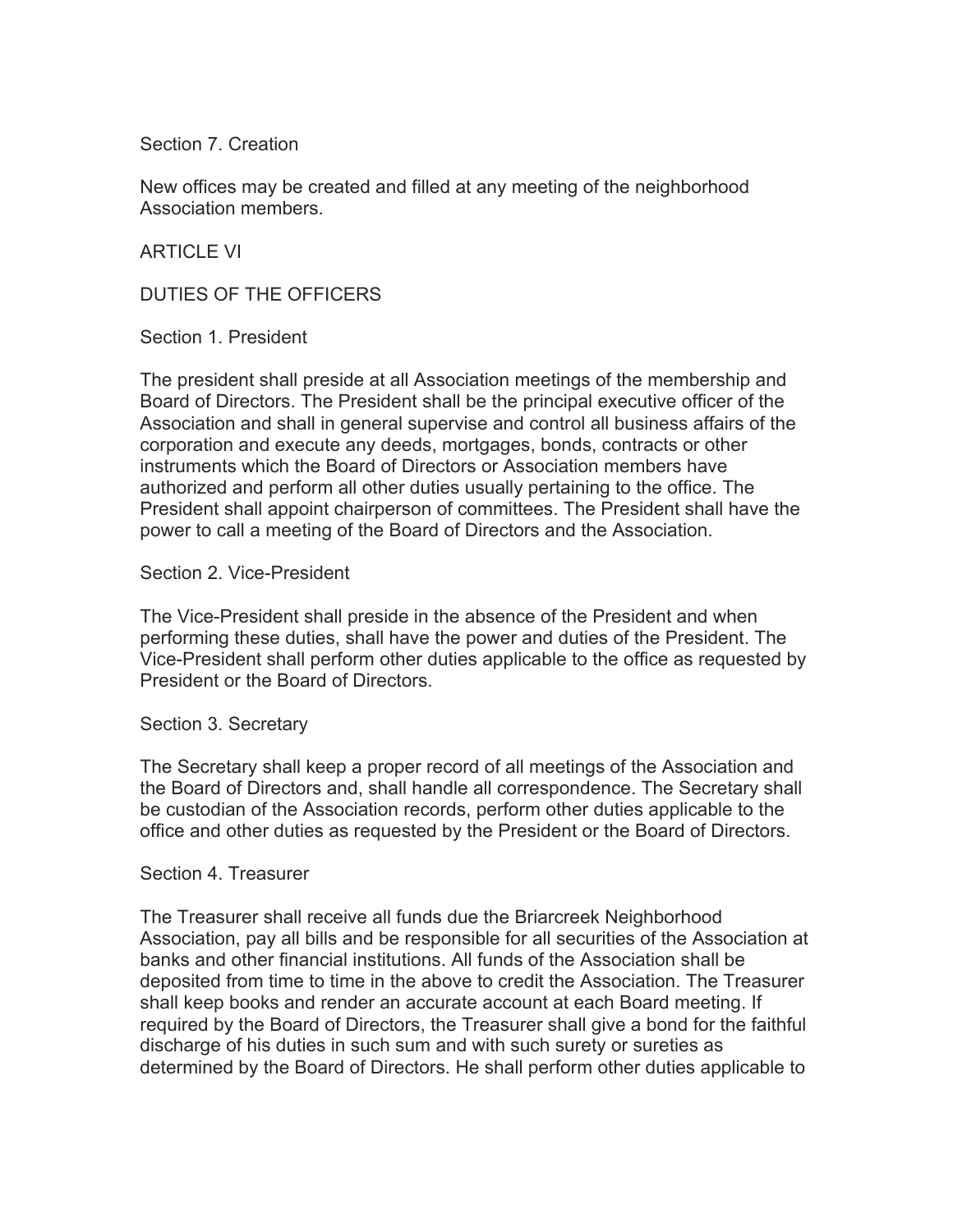Section 7. Creation

New offices may be created and filled at any meeting of the neighborhood Association members.

ARTICLE VI

DUTIES OF THE OFFICERS

Section 1. President

The president shall preside at all Association meetings of the membership and Board of Directors. The President shall be the principal executive officer of the Association and shall in general supervise and control all business affairs of the corporation and execute any deeds, mortgages, bonds, contracts or other instruments which the Board of Directors or Association members have authorized and perform all other duties usually pertaining to the office. The President shall appoint chairperson of committees. The President shall have the power to call a meeting of the Board of Directors and the Association.

#### Section 2. Vice-President

The Vice-President shall preside in the absence of the President and when performing these duties, shall have the power and duties of the President. The Vice-President shall perform other duties applicable to the office as requested by President or the Board of Directors.

#### Section 3. Secretary

The Secretary shall keep a proper record of all meetings of the Association and the Board of Directors and, shall handle all correspondence. The Secretary shall be custodian of the Association records, perform other duties applicable to the office and other duties as requested by the President or the Board of Directors.

#### Section 4. Treasurer

The Treasurer shall receive all funds due the Briarcreek Neighborhood Association, pay all bills and be responsible for all securities of the Association at banks and other financial institutions. All funds of the Association shall be deposited from time to time in the above to credit the Association. The Treasurer shall keep books and render an accurate account at each Board meeting. If required by the Board of Directors, the Treasurer shall give a bond for the faithful discharge of his duties in such sum and with such surety or sureties as determined by the Board of Directors. He shall perform other duties applicable to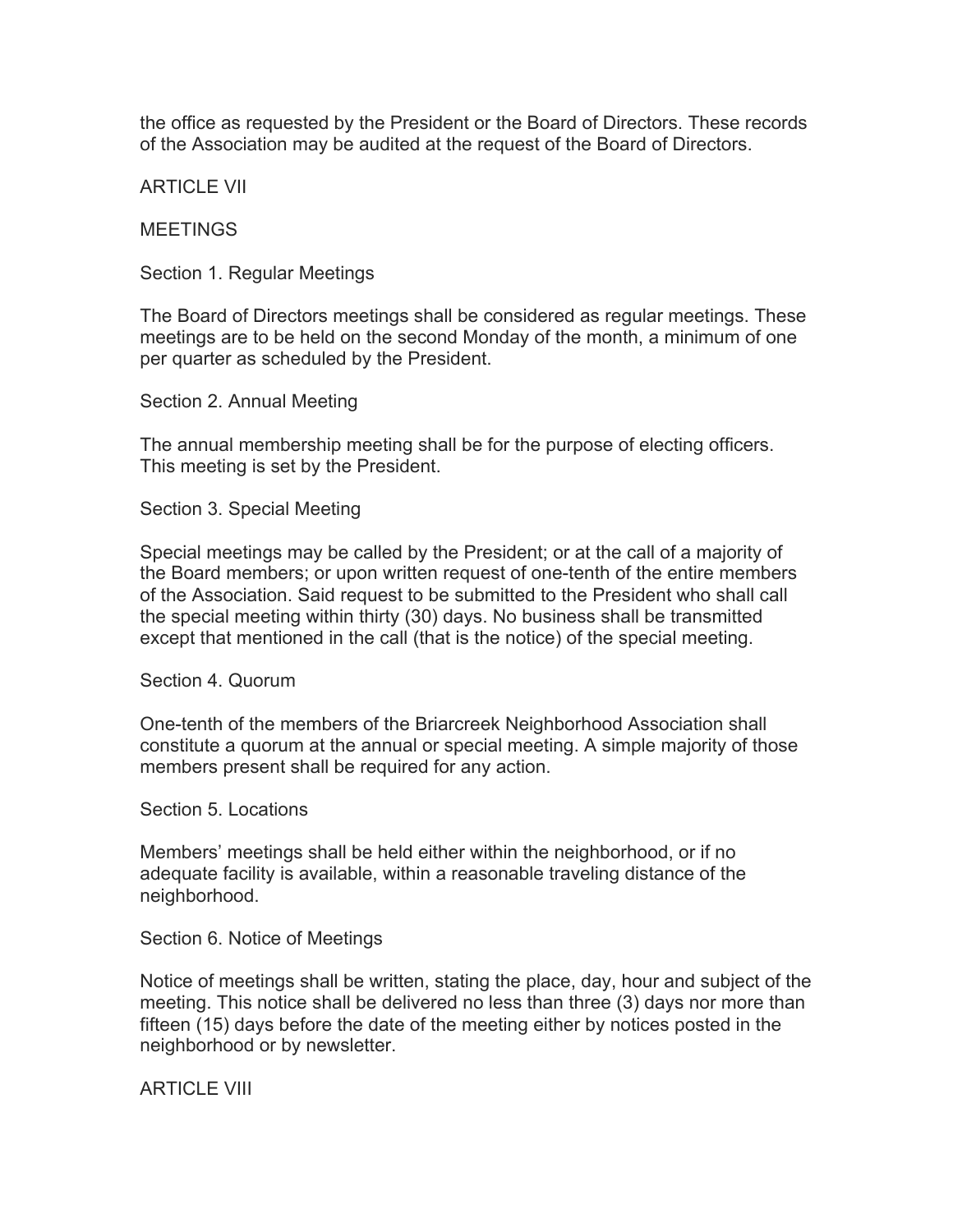the office as requested by the President or the Board of Directors. These records of the Association may be audited at the request of the Board of Directors.

ARTICLE VII

MEETINGS

Section 1. Regular Meetings

The Board of Directors meetings shall be considered as regular meetings. These meetings are to be held on the second Monday of the month, a minimum of one per quarter as scheduled by the President.

Section 2. Annual Meeting

The annual membership meeting shall be for the purpose of electing officers. This meeting is set by the President.

Section 3. Special Meeting

Special meetings may be called by the President; or at the call of a majority of the Board members; or upon written request of one-tenth of the entire members of the Association. Said request to be submitted to the President who shall call the special meeting within thirty (30) days. No business shall be transmitted except that mentioned in the call (that is the notice) of the special meeting.

Section 4. Quorum

One-tenth of the members of the Briarcreek Neighborhood Association shall constitute a quorum at the annual or special meeting. A simple majority of those members present shall be required for any action.

Section 5. Locations

Members' meetings shall be held either within the neighborhood, or if no adequate facility is available, within a reasonable traveling distance of the neighborhood.

Section 6. Notice of Meetings

Notice of meetings shall be written, stating the place, day, hour and subject of the meeting. This notice shall be delivered no less than three (3) days nor more than fifteen (15) days before the date of the meeting either by notices posted in the neighborhood or by newsletter.

ARTICLE VIII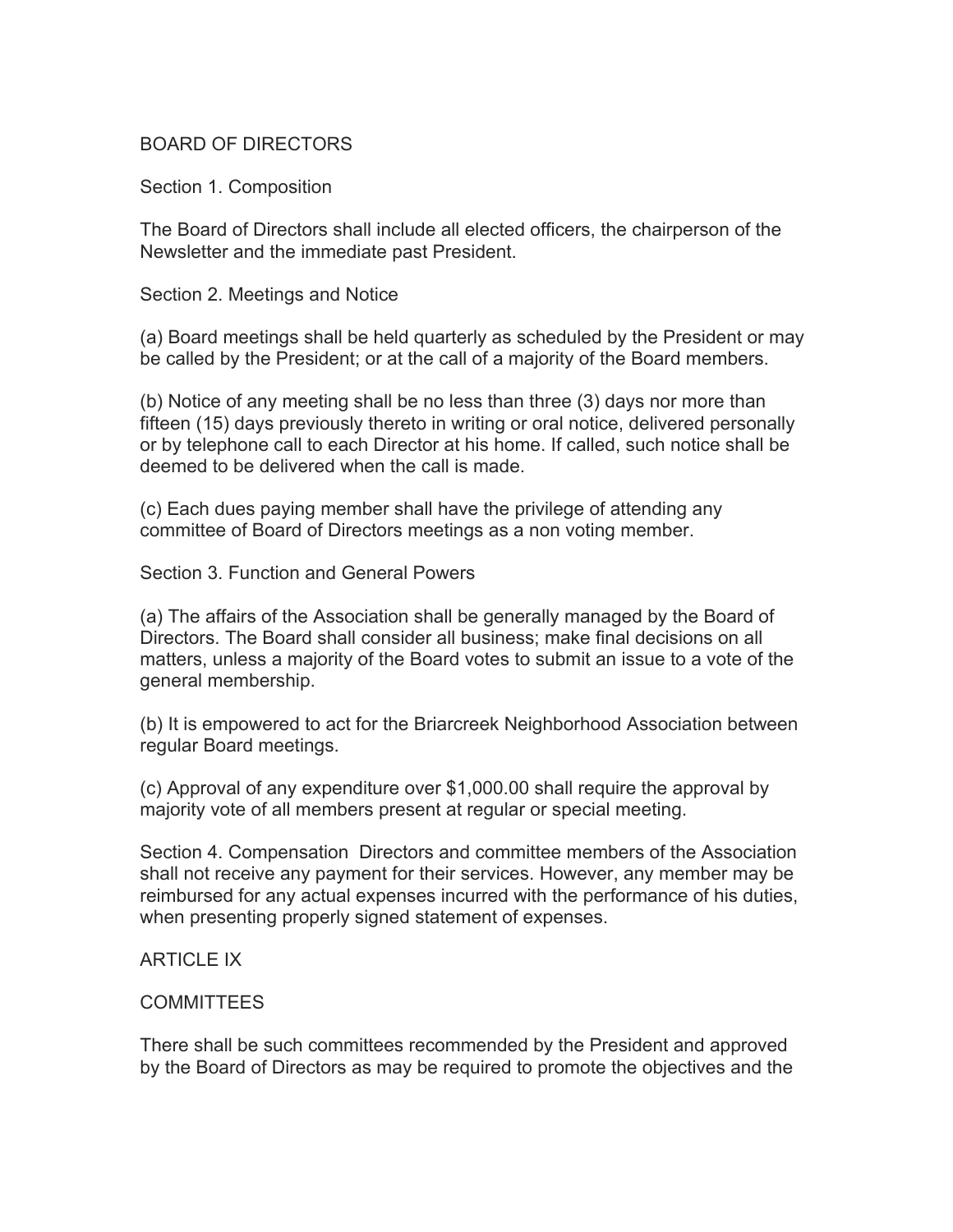## BOARD OF DIRECTORS

Section 1. Composition

The Board of Directors shall include all elected officers, the chairperson of the Newsletter and the immediate past President.

Section 2. Meetings and Notice

(a) Board meetings shall be held quarterly as scheduled by the President or may be called by the President; or at the call of a majority of the Board members.

(b) Notice of any meeting shall be no less than three (3) days nor more than fifteen (15) days previously thereto in writing or oral notice, delivered personally or by telephone call to each Director at his home. If called, such notice shall be deemed to be delivered when the call is made.

(c) Each dues paying member shall have the privilege of attending any committee of Board of Directors meetings as a non voting member.

Section 3. Function and General Powers

(a) The affairs of the Association shall be generally managed by the Board of Directors. The Board shall consider all business; make final decisions on all matters, unless a majority of the Board votes to submit an issue to a vote of the general membership.

(b) It is empowered to act for the Briarcreek Neighborhood Association between regular Board meetings.

(c) Approval of any expenditure over \$1,000.00 shall require the approval by majority vote of all members present at regular or special meeting.

Section 4. Compensation Directors and committee members of the Association shall not receive any payment for their services. However, any member may be reimbursed for any actual expenses incurred with the performance of his duties, when presenting properly signed statement of expenses.

#### ARTICLE IX

#### COMMITTEES

There shall be such committees recommended by the President and approved by the Board of Directors as may be required to promote the objectives and the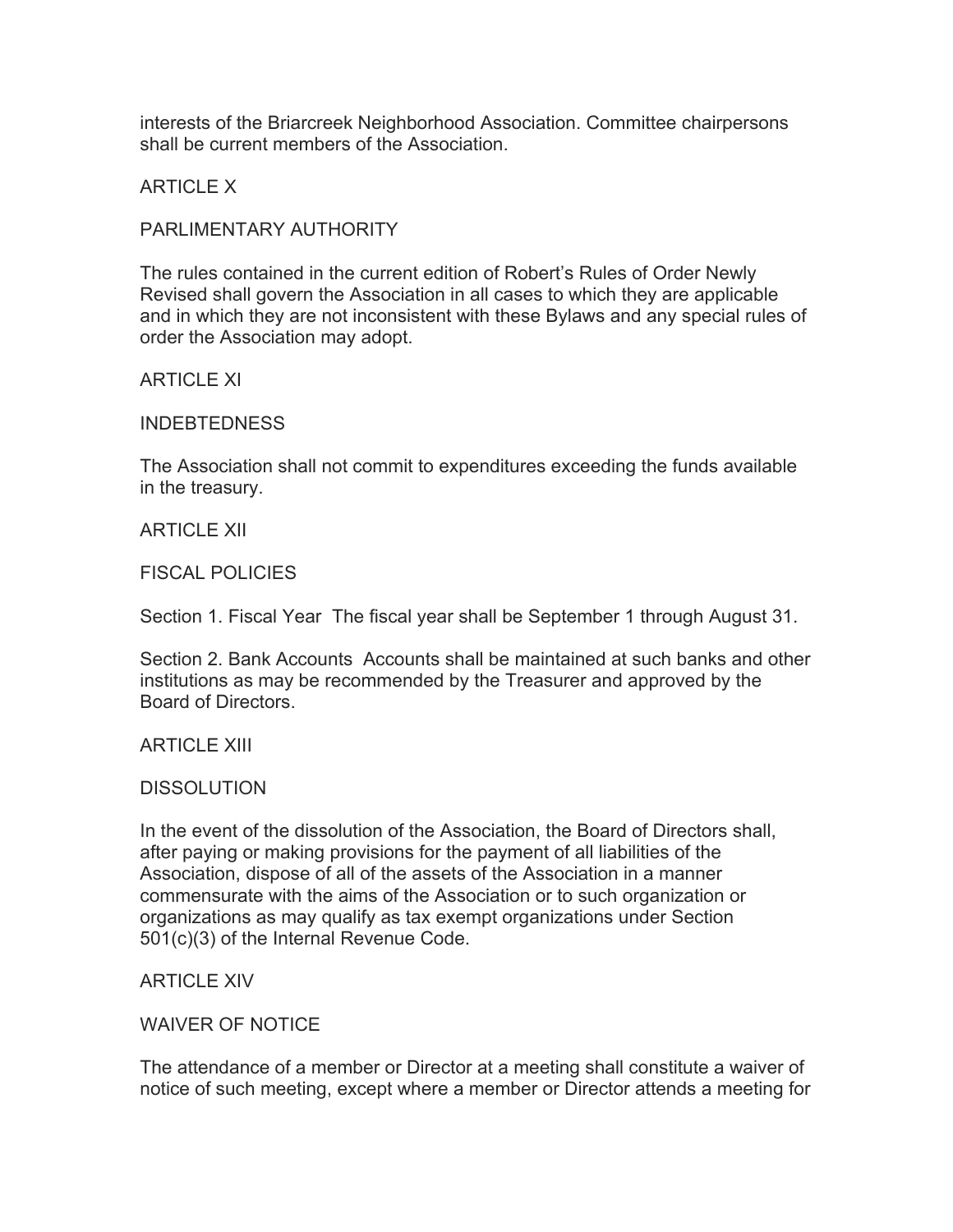interests of the Briarcreek Neighborhood Association. Committee chairpersons shall be current members of the Association.

ARTICLE X

## PARLIMENTARY AUTHORITY

The rules contained in the current edition of Robert's Rules of Order Newly Revised shall govern the Association in all cases to which they are applicable and in which they are not inconsistent with these Bylaws and any special rules of order the Association may adopt.

ARTICLE XI

INDEBTEDNESS

The Association shall not commit to expenditures exceeding the funds available in the treasury.

ARTICLE XII

FISCAL POLICIES

Section 1. Fiscal Year The fiscal year shall be September 1 through August 31.

Section 2. Bank Accounts Accounts shall be maintained at such banks and other institutions as may be recommended by the Treasurer and approved by the Board of Directors.

ARTICLE XIII

#### **DISSOLUTION**

In the event of the dissolution of the Association, the Board of Directors shall, after paying or making provisions for the payment of all liabilities of the Association, dispose of all of the assets of the Association in a manner commensurate with the aims of the Association or to such organization or organizations as may qualify as tax exempt organizations under Section 501(c)(3) of the Internal Revenue Code.

ARTICLE XIV

WAIVER OF NOTICE

The attendance of a member or Director at a meeting shall constitute a waiver of notice of such meeting, except where a member or Director attends a meeting for